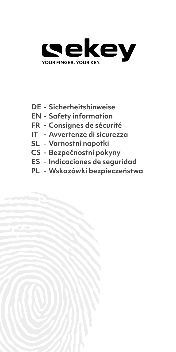

- **DE Sicherheitshinweise**
- **EN Safety information**
- **FR Consignes de sécurité**
- **IT Avvertenze di sicurezza**
- **SL Varnostni napotki**
- **CS Bezpečnostní pokyny**
- **ES Indicaciones de seguridad**
- **PL Wskazówki bezpieczeństwa**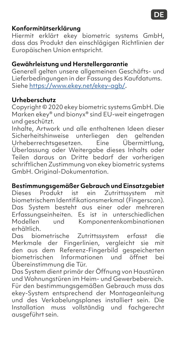#### **Konformitätserklärung**

Hiermit erklärt ekey biometric systems GmbH, dass das Produkt den einschlägigen Richtlinien der Europäischen Union entspricht.

### **Gewährleistung und Herstellergarantie**

Generell gelten unsere allgemeinen Geschäfts- und Lieferbedingungen in der Fassung des Kaufdatums. Siehe [https://www.ekey.net/ekey-agb/](https://www.ekey.net/ekey-agb).

#### **Urheberschutz**

Copyright © 2020 ekey biometric systems GmbH. Die Marken ekey® und bionyx® sind EU-weit eingetragen und geschützt.

Inhalte, Artwork und alle enthaltenen Ideen dieser Sicherheitshinweise unterliegen den geltenden<br>Urheberrechtsgesetzen. Eine Übermittlung. Urheberrechtsgesetzen. Eine Überlassung oder Weitergabe dieses Inhalts oder Teilen daraus an Dritte bedarf der vorherigen schriftlichen Zustimmung von ekey biometric systems GmbH. Original-Dokumentation.

#### **Bestimmungsgemäßer Gebrauch und Einsatzgebiet**

Dieses Produkt ist ein Zutrittssystem mit biometrischem Identifikationsmerkmal (Fingerscan). Das System besteht aus einer oder mehreren Erfassungseinheiten. Es ist in unterschiedlichen und Komponentenkombinationen erhältlich.

Das biometrische Zutrittssystem erfasst die Merkmale der Fingerlinien, vergleicht sie mit den aus dem Referenz-Fingerbild gespeicherten biometrischen Informationen und öffnet bei Übereinstimmung die Tür.

Das System dient primär der Öffnung von Haustüren und Wohnungstüren im Heim- und Gewerbebereich. Für den bestimmungsgemäßen Gebrauch muss das ekey-System entsprechend der Montageanleitung und des Verkabelungsplanes installiert sein. Die Installation muss vollständig und fachgerecht ausgeführt sein.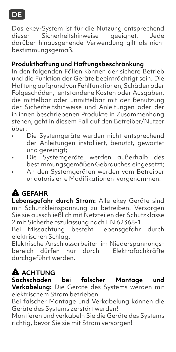### **DE**

Das ekey-System ist für die Nutzung entsprechend<br>dieser Sicherheitshinweise aeeianet. Jede Sicherheitshinweise darüber hinausgehende Verwendung gilt als nicht bestimmungsgemäß.

### **Produkthaftung und Haftungsbeschränkung**

In den folgenden Fällen können der sichere Betrieb und die Funktion der Geräte beeinträchtigt sein. Die Haftung aufgrund von Fehlfunktionen, Schäden oder Folgeschäden, entstandene Kosten oder Ausgaben, die mittelbar oder unmittelbar mit der Benutzung der Sicherheitshinweise und Anleitungen oder der in ihnen beschriebenen Produkte in Zusammenhang stehen, geht in diesem Fall auf den Betreiber/Nutzer über:

- Die Systemgeräte werden nicht entsprechend der Anleitungen installiert, benutzt, gewartet und gereinigt;
- Die Systemgeräte werden außerhalb des bestimmungsgemäßen Gebrauches eingesetzt;
- An den Systemgeräten werden vom Betreiber unautorisierte Modifikationen vorgenommen.

## **GEFAHR**

**Lebensgefahr durch Strom:** Alle ekey-Geräte sind mit Schutzkleinspannung zu betreiben. Versorgen Sie sie ausschließlich mit Netzteilen der Schutzklasse 2 mit Sicherheitszulassung nach EN 62368-1.

Bei Missachtung besteht Lebensgefahr durch elektrischen Schlag.

Elektrische Anschlussarbeiten im Niederspannungsbereich dürfen nur durch durchgeführt werden.

### **A** ACHTUNG

**Sachschäden bei falscher Montage und Verkabelung:** Die Geräte des Systems werden mit elektrischem Strom betrieben.

Bei falscher Montage und Verkabelung können die Geräte des Systems zerstört werden!

Montieren und verkabeln Sie die Geräte des Systems richtig, bevor Sie sie mit Strom versorgen!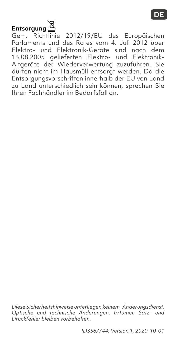

Gem. Richtlinie 2012/19/EU des Europäischen Parlaments und des Rates vom 4. Juli 2012 über Elektro- und Elektronik-Geräte sind nach dem 13.08.2005 gelieferten Elektro- und Elektronik-Altgeräte der Wiederverwertung zuzuführen. Sie dürfen nicht im Hausmüll entsorgt werden. Da die Entsorgungsvorschriften innerhalb der EU von Land zu Land unterschiedlich sein können, sprechen Sie Ihren Fachhändler im Bedarfsfall an.

*Diese Sicherheitshinweise unterliegen keinem Änderungsdienst. Optische und technische Änderungen, Irrtümer, Satz- und Druckfehler bleiben vorbehalten.*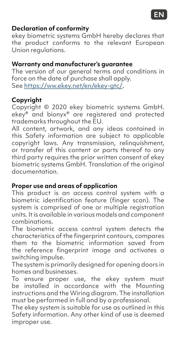

#### **Declaration of conformity**

ekey biometric systems GmbH hereby declares that the product conforms to the relevant European Union regulations.

#### **Warranty and manufacturer's guarantee**

The version of our general terms and conditions in force on the date of purchase shall apply. See [https://ww.ekey.net/en/ekey-gtc](https://www.ekey.net/en/ekey-gtc)/.

#### **Copyright**

Copyright © 2020 ekey biometric systems GmbH. ekey® and bionyx® are registered and protected trademarks throughout the EU.

All content, artwork, and any ideas contained in this Safety information are subject to applicable copyright laws. Any transmission, relinquishment, or transfer of this content or parts thereof to any third party requires the prior written consent of ekey biometric systems GmbH. Translation of the original documentation.

#### **Proper use and areas of application**

This product is an access control system with a biometric identification feature (finger scan). The system is comprised of one or multiple registration units. It is available in various models and component combinations.

The biometric access control system detects the characteristics of the fingerprint contours, compares them to the biometric information saved from the reference fingerprint image and activates a switching impulse.

The system is primarily designed for opening doors in homes and businesses.

To ensure proper use, the ekey system must be installed in accordance with the Mounting instructions and the Wiring diagram. The installation must be performed in full and by a professional.

The ekey system is suitable for use as outlined in this Safety information. Any other kind of use is deemed improper use.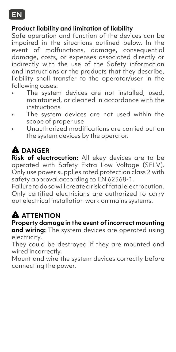

#### **Product liability and limitation of liability**

Safe operation and function of the devices can be impaired in the situations outlined below. In the event of malfunctions, damage, consequential damage, costs, or expenses associated directly or indirectly with the use of the Safety information and instructions or the products that they describe, liability shall transfer to the operator/user in the following cases:

- The system devices are not installed, used, maintained, or cleaned in accordance with the *instructions*
- The system devices are not used within the scope of proper use
- Unauthorized modifications are carried out on the system devices by the operator.

## **DANGER**

**Risk of electrocution:** All ekey devices are to be operated with Safety Extra Low Voltage (SELV). Only use power supplies rated protection class 2 with safety approval according to EN 62368-1.

Failure to do so will create a risk of fatal electrocution. Only certified electricians are authorized to carry out electrical installation work on mains systems.

## **ATTENTION**

#### **Property damage in the event of incorrect mounting**

**and wiring:** The system devices are operated using electricity.

They could be destroyed if they are mounted and wired incorrectly.

Mount and wire the system devices correctly before connecting the power.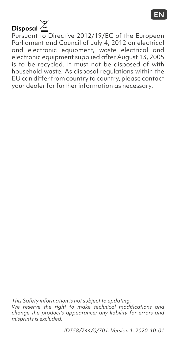# **Disposal**

Pursuant to Directive 2012/19/EC of the European Parliament and Council of July 4, 2012 on electrical and electronic equipment, waste electrical and electronic equipment supplied after August 13, 2005 is to be recycled. It must not be disposed of with household waste. As disposal regulations within the EU can differ from country to country, please contact your dealer for further information as necessary.

*This Safety information is not subject to updating. We reserve the right to make technical modifications and change the product's appearance; any liability for errors and misprints is excluded.*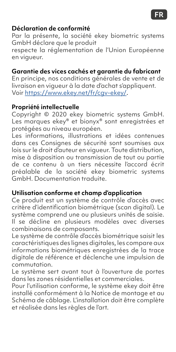#### **Déclaration de conformité**

Par la présente, la société ekey biometric systems GmbH déclare que le produit

respecte la réglementation de l'Union Européenne en vigueur.

#### **Garantie des vices cachés et garantie du fabricant**

En principe, nos conditions générales de vente et de livraison en vigueur à la date d'achat s'appliquent. Voir [https://www.ekey.net/fr/c](https://www.ekey.net/fr/cgv-ekey)gv-ekey/.

#### **Propriété intellectuelle**

Copyright © 2020 ekey biometric systems GmbH. Les marques ekey® et bionyx® sont enregistrées et protégées au niveau européen.

Les informations, illustrations et idées contenues dans ces Consignes de sécurité sont soumises aux lois sur le droit d'auteur en vigueur. Toute distribution, mise à disposition ou transmission de tout ou partie de ce contenu à un tiers nécessite l'accord écrit préalable de la société ekey biometric systems GmbH. Documentation traduite.

#### **Utilisation conforme et champ d'application**

Ce produit est un système de contrôle d'accès avec critère d'identification biométrique (scan digital). Le système comprend une ou plusieurs unités de saisie. Il se décline en plusieurs modèles avec diverses combinaisons de composants.

Le système de contrôle d'accès biométrique saisit les caractéristiques des lignes digitales, les compare aux informations biométriques enregistrées de la trace digitale de référence et déclenche une impulsion de commutation.

Le système sert avant tout à l'ouverture de portes dans les zones résidentielles et commerciales.

Pour l'utilisation conforme, le système ekey doit être installé conformément à la Notice de montage et au Schéma de câblage. L'installation doit être complète et réalisée dans les règles de l'art.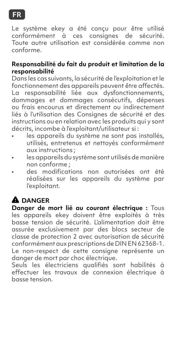### **FR**

Le système ekey a été conçu pour être utilisé conformément à ces consignes de sécurité. Toute autre utilisation est considérée comme non conforme.

#### **Responsabilité du fait du produit et limitation de la responsabilité**

Dans les cas suivants, la sécurité de l'exploitation et le fonctionnement des appareils peuvent être affectés. La responsabilité liée aux dysfonctionnements, dommages et dommages consécutifs, dépenses ou frais encourus et directement ou indirectement liés à l'utilisation des Consignes de sécurité et des instructions ou en relation avec les produits qui y sont décrits, incombe à l'exploitant/utilisateur si :

- les appareils du système ne sont pas installés, utilisés, entretenus et nettoyés conformément aux instructions ;
- les appareils du système sont utilisés de manière non conforme ;
- des modifications non autorisées ont été réalisées sur les appareils du système par l'exploitant.

# **DANGER**

**Danger de mort lié au courant électrique :** Tous les appareils ekey doivent être exploités à très basse tension de sécurité. L'alimentation doit être assurée exclusivement par des blocs secteur de classe de protection 2 avec autorisation de sécurité conformément aux prescriptions de DIN EN 62368-1. Le non-respect de cette consigne représente un danger de mort par choc électrique.

Seuls les électriciens qualifiés sont habilités à effectuer les travaux de connexion électrique à basse tension.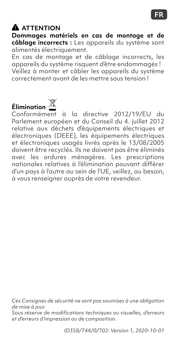### **ATTENTION**

**Dommages matériels en cas de montage et de câblage incorrects :** Les appareils du système sont alimentés électriquement.

En cas de montage et de câblage incorrects, les appareils du système risquent d'être endommagés ! Veillez à monter et câbler les appareils du système correctement avant de les mettre sous tension !

# **Élimination**

Conformément à la directive 2012/19/EU du Parlement européen et du Conseil du 4. juillet 2012 relative aux déchets d'équipements électriques et électroniques (DEEE), les équipements électriques et électroniques usagés livrés après le 13/08/2005 doivent être recyclés. Ils ne doivent pas être éliminés avec les ordures ménagères. Les prescriptions nationales relatives à l'élimination pouvant différer d'un pays à l'autre au sein de l'UE, veillez, au besoin, à vous renseigner auprès de votre revendeur.

*Ces Consignes de sécurité ne sont pas soumises à une obligation de mise à jour.* 

*Sous réserve de modifications techniques ou visuelles, d'erreurs et d'erreurs d'impression ou de composition.*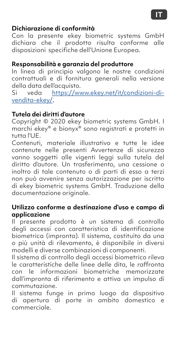#### **IT**

#### **Dichiarazione di conformità**

Con la presente ekey biometric systems GmbH dichiara che il prodotto risulta conforme alle disposizioni specifiche dell'Unione Europea.

#### **Responsabilità e garanzia del produttore**

In linea di principio valgono le nostre condizioni contrattuali e di fornitura generali nella versione della data dell'acquisto.

Si veda https:/[/www.ekey.net/it/condizioni-di](https://www.ekey.net/it/condizioni-di-vendita-ekey)[vendita-](https://www.ekey.net/it/condizioni-di-vendita-ekey)ekey/.

#### **Tutela dei diritti d'autore**

Copyright © 2020 ekey biometric systems GmbH. I marchi ekey® e bionyx® sono registrati e protetti in tutta l'UE.

Contenuti, materiale illustrativo e tutte le idee contenute nelle presenti Avvertenze di sicurezza vanno soggetti alle vigenti leggi sulla tutela del diritto d'autore. Un trasferimento, una cessione o inoltro di tale contenuto o di parti di esso a terzi non può avvenire senza autorizzazione per iscritto di ekey biometric systems GmbH. Traduzione della documentazione originale.

#### **Utilizzo conforme a destinazione d'uso e campo di applicazione**

Il presente prodotto è un sistema di controllo degli accessi con caratteristica di identificazione biometrica (impronta). Il sistema, costituito da una o più unità di rilevamento, è disponibile in diversi modelli e diverse combinazioni di componenti.

Il sistema di controllo degli accessi biometrico rileva le caratteristiche delle linee delle dita, le raffronta con le informazioni biometriche memorizzate dall'impronta di riferimento e attiva un impulso di commutazione.

Il sistema funge in primo luogo da dispositivo di apertura di porte in ambito domestico e commerciale.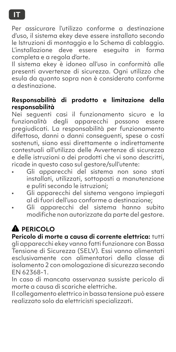Per assicurare l'utilizzo conforme a destinazione d'uso, il sistema ekey deve essere installato secondo le Istruzioni di montaggio e lo Schema di cablaggio. L'installazione deve essere eseguita in forma completa e a regola d'arte.

Il sistema ekey è idoneo all'uso in conformità alle presenti avvertenze di sicurezza. Ogni utilizzo che esula da quanto sopra non è considerato conforme a destinazione.

#### **Responsabilità di prodotto e limitazione della responsabilità**

Nei seguenti casi il funzionamento sicuro e la funzionalità degli apparecchi possono essere pregiudicati. La responsabilità per funzionamento difettoso, danni o danni conseguenti, spese o costi sostenuti, siano essi direttamente o indirettamente contestuali all'utilizzo delle Avvertenze di sicurezza e delle istruzioni o dei prodotti che vi sono descritti, ricade in questo caso sul gestore/sull'utente:

- Gli apparecchi del sistema non sono stati installati, utilizzati, sottoposti a manutenzione e puliti secondo le istruzioni;
- Gli apparecchi del sistema vengono impiegati al di fuori dell'uso conforme a destinazione;
- Gli apparecchi del sistema hanno subito modifiche non autorizzate da parte del gestore.

# **A** PERICOLO

**Pericolo di morte a causa di corrente elettrica:** tutti

gli apparecchi ekey vanno fatti funzionare con Bassa Tensione di Sicurezza (SELV). Essi vanno alimentati esclusivamente con alimentatori della classe di isolamento 2 con omologazione di sicurezza secondo EN 62368-1.

In caso di mancata osservanza sussiste pericolo di morte a causa di scariche elettriche.

Il collegamento elettrico in bassa tensione può essere realizzato solo da elettricisti specializzati.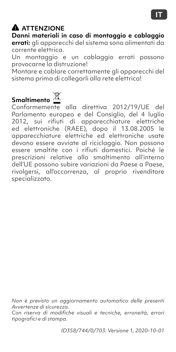### **ATTENZIONE**

**Danni materiali in caso di montaggio e cablaggio errati:** gli apparecchi del sistema sono alimentati da corrente elettrica.

Un montaggio e un cablaggio errati possono provocarne la distruzione!

Montare e cablare correttamente gli apparecchi del sistema prima di collegarli alla rete elettrica!

### **Smaltimento**

Conformemente alla direttiva 2012/19/UE del Parlamento europeo e del Consiglio, del 4 luglio 2012, sui rifiuti di apparecchiature elettriche ed elettroniche (RAEE), dopo il 13.08.2005 le apparecchiature elettriche ed elettroniche usate devono essere avviate al riciclaggio. Non possono essere smaltite con i rifiuti domestici. Poiché le prescrizioni relative allo smaltimento all'interno dell'UE possono subire variazioni da Paese a Paese, rivolgersi, all'occorrenza, al proprio rivenditore specializzato.

*Non è previsto un aggiornamento automatico delle presenti Avvertenze di sicurezza.* 

*Con riserva di modifiche visuali e tecniche, erroneità, errori tipografici e di stampa.*

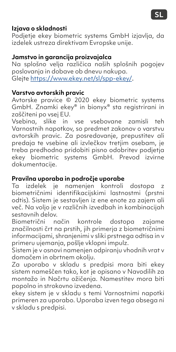### **Izjava o skladnosti**

Podjetje ekey biometric systems GmbH izjavlja, da izdelek ustreza direktivam Evropske unije.

### **Jamstvo in garancija proizvajalca**

Na splošno velja različica naših splošnih pogojev poslovanja in dobave ob dnevu nakupa. Glejte [https://www.ekey.net/sl/spp-ekey/](https://www.ekey.net/sl/spp-ekey).

#### **Varstvo avtorskih pravic**

Avtorske pravice © 2020 ekey biometric systems GmbH. Znamki ekey® in bionyx® sta registrirani in zaščiteni po vsej EU.

Vsebina, slike in vse vsebovane zamisli teh Varnostnih napotkov, so predmet zakonov o varstvu avtorskih pravic. Za posredovanje, prepustitev ali predaja te vsebine ali izvlečkov tretjim osebam, je treba predhodno pridobiti pisno odobritev podjetja ekey biometric systems GmbH. Prevod izvirne dokumentacije.

#### **Pravilna uporaba in področje uporabe**

Ta izdelek je namenjen kontroli dostopa z biometričnimi identifikacijskimi lastnostmi (prstni odtis). Sistem je sestavljen iz ene enote za zajem ali več. Na voljo je v različnih izvedbah in kombinacijah sestavnih delov.<br>Biometrični n

način kontrole dostopa zajame značilnosti črt na prstih, jih primerja z biometričnimi informacijami, shranjenimi v sliki prstnega odtisa in v primeru ujemanja, pošlje vklopni impulz.

Sistem je v osnovi namenjen odpiranju vhodnih vrat v domačem in obrtnem okolju.

Za uporabo v skladu s predpisi mora biti ekey sistem nameščen tako, kot je opisano v Navodilih za montažo in Načrtu ožičenja. Namestitev mora biti popolno in strokovno izvedena.

ekey sistem je v skladu s temi Varnostnimi napotki primeren za uporabo. Uporaba izven tega obsega ni v skladu s predpisi.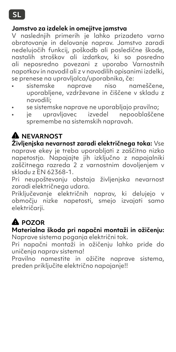#### **Jamstvo za izdelek in omejitve jamstva**

V naslednjih primerih je lahko prizadeto varno obratovanje in delovanje naprav. Jamstvo zaradi nedelujočih funkcij, poškodb ali posledične škode, nastalih stroškov ali izdatkov, ki so posredno ali neposredno povezani z uporabo Varnostnih napotkov in navodil ali z v navodilih opisanimi izdelki, se prenese na upravljalca/uporabnika, če:

- sistemske naprave niso nameščene, uporabljene, vzdrževane in čiščene v skladu z navodili;
- se sistemske naprave ne uporabljajo pravilno;
- izvedel nepooblaščene spremembe na sistemskih napravah.

## **NEVARNOST**

**Življenjska nevarnost zaradi električnega toka:** Vse naprave ekey je treba uporabljati z zaščitno nizko napetostjo. Napajajte jih izključno z napajalniki zaščitnega razreda 2 z varnostnim dovoljenjem v skladu z EN 62368-1.

Pri neupoštevanju obstaja življenjska nevarnost zaradi električnega udara.

Priključevanje električnih naprav, ki delujejo v območju nizke napetosti, smejo izvajati samo električarji.

## **POZOR**

**Materialna škoda pri napačni montaži in ožičenju:** Naprave sistema poganja električni tok.

Pri napačni montaži in ožičenju lahko pride do uničenja naprav sistema!

Pravilno namestite in ožičite naprave sistema, preden priključite električno napajanje!!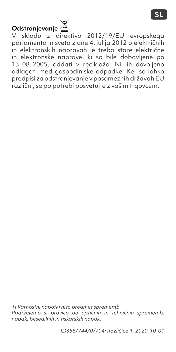# **Odstranjevanje**

V skladu z direktivo 2012/19/EU evropskega parlamenta in sveta z dne 4. julija 2012 o električnih in elektronskih napravah je treba stare električne in elektronske naprave, ki so bile dobavljene po 13. 08. 2005, oddati v reciklažo. Ni jih dovoljeno odlagati med gospodinjske odpadke. Ker so lahko predpisi za odstranjevanje v posameznih državah EU različni, se po potrebi posvetujte z vašim trgovcem.

*Ti Varnostni napotki niso predmet sprememb. Pridržujemo si pravico do optičnih in tehničnih sprememb, napak, besedilnih in tiskarskih napak.*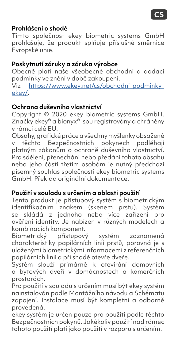

#### **Prohlášení o shodě**

Tímto společnost ekey biometric systems GmbH prohlašuje, že produkt splňuje příslušné směrnice Evropské unie.

#### **Poskytnutí záruky a záruka výrobce**

Obecně platí naše všeobecné obchodní a dodací podmínky ve znění v době zakoupení. Viz [https://www.ekey.net/cs/obchodni-podminky-](https://www.ekey.net/cs/obchodni-podminky-ekey)

[ekey](https://www.ekey.net/cs/obchodni-podminky-ekey)/.

#### **Ochrana duševního vlastnictví**

Copyright © 2020 ekey biometric systems GmbH. Značky ekey® a bionyx® jsou registrovány a chráněny v rámci celé EU.

Obsahy, grafické práce a všechny myšlenky obsažené v těchto Bezpečnostních pokynech podléhají platným zákonům o ochraně duševního vlastnictví. Pro sdělení, přenechání nebo předání tohoto obsahu nebo jeho částí třetím osobám je nutný předchozí písemný souhlas společnosti ekey biometric systems GmbH. Překlad originální dokumentace.

#### **Použití v souladu s určením a oblasti použití**

Tento produkt je přístupový systém s biometrickým identifikačním znakem (skenem prstu). Systém se skládá z jednoho nebo více zařízení pro ověření identity. Je nabízen v různých modelech a kombinacích komponent.

Biometrický přístupový systém zaznamená charakteristiky papilárních linií prstů, porovná je s uloženými biometrickými informacemi z referenčních papilárních linií a při shodě otevře dveře.

Systém slouží primárně k otevírání domovních a bytových dveří v domácnostech a komerčních prostorách.

Pro použití v souladu s určením musí být ekey systém nainstalován podle Montážního návodu a Schématu zapojení. Instalace musí být kompletní a odborně provedená.

ekey systém je určen pouze pro použití podle těchto Bezpečnostních pokynů. Jakékoliv použití nad rámec tohoto použití platí jako použití v rozporu s určením.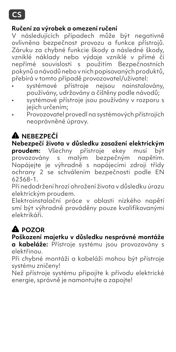

#### **Ručení za výrobek a omezení ručení**

V následujících případech může být negativně ovlivněna bezpečnost provozu a funkce přístrojů. Záruku za chybné funkcie škody a následné škody, vzniklé náklady nebo výdaje vzniklé v přímé či nepřímé souvislosti s použitím Bezpečnostních pokynů a návodů nebo v nich popisovaných produktů, přebírá v tomto případě provozovatel/uživatel:

- systémové přístroje nejsou nainstalovány, používány, udržovány a čištěny podle návodů;
- systémové přístroje jsou používány v rozporu s jejich určením:
- Provozovatel provedl na systémových přístrojích neoprávněné úpravy.

## **NEBEZPEČÍ**

**Nebezpečí života v důsledku zasažení elektrickým proudem:** Všechny přístroje ekey musí být provozovány s malým bezpečným napětím. Napájejte je výhradně s napájecími zdroji třídy ochrany 2 se schválením bezpečnosti podle EN 62368-1.

Při nedodržení hrozí ohrožení života v důsledku úrazu elektrickým proudem.

Elektroinstalační práce v oblasti nízkého napětí smí být výhradně prováděny pouze kvalifikovanými elektrikáři.

# **POZOR**

#### **Poškození majetku v důsledku nesprávné montáže**

**a kabeláže:** Přístroje systému jsou provozovány s elektřinou.

Při chybné montáži a kabeláži mohou být přístroje systému zničeny!

Než přístroje systému připojíte k přívodu elektrické energie, správně je namontujte a zapojte!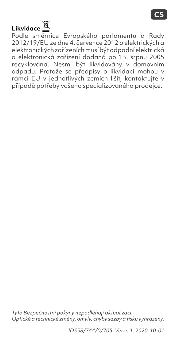# **Likvidace**

Podle směrnice Evropského parlamentu a Rady 2012/19/EU ze dne 4. července 2012 o elektrických a elektronických zařízeních musí být odpadní elektrická a elektronická zařízení dodaná po 13. srpnu 2005 recyklována. Nesmí být likvidovány v domovním odpadu. Protože se předpisy o likvidaci mohou v rámci EU v jednotlivých zemích lišit, kontaktujte v případě potřeby vašeho specializovaného prodejce.

*Tyto Bezpečnostní pokyny nepodléhají aktualizaci. Optické a technické změny, omyly, chyby sazby a tisku vyhrazeny.*

*ID358/744/0/705: Verze 1, 2020-10-01*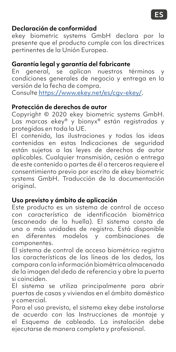#### **Declaración de conformidad**

ekey biometric systems GmbH declara por la presente que el producto cumple con las directrices pertinentes de la Unión Europea.

#### **Garantía legal y garantía del fabricante**

En general, se aplican nuestros términos y condiciones generales de negocio y entrega en la versión de la fecha de compra. Consulte [https://www.ekey.net/es/cgv-ekey/](https://www.ekey.net/es/cgv-ekey).

#### **Protección de derechos de autor**

Copyright © 2020 ekey biometric systems GmbH. Las marcas ekey® y bionyx® están registradas y protegidas en toda la UE.

El contenido, las ilustraciones y todas las ideas contenidas en estas Indicaciones de seguridad están sujetos a las leyes de derechos de autor aplicables. Cualquier transmisión, cesión o entrega de este contenido o partes de él a terceros requiere el consentimiento previo por escrito de ekey biometric systems GmbH. Traducción de la documentación original.

#### **Uso previsto y ámbito de aplicación**

Este producto es un sistema de control de acceso con característica de identificación biométrica (escaneado de la huella). El sistema consta de una o más unidades de registro. Está disponible en diferentes modelos y combinaciones de componentes.

El sistema de control de acceso biométrico registra las características de las líneas de los dedos, las compara con la información biométrica almacenada de la imagen del dedo de referencia y abre la puerta si coinciden.

El sistema se utiliza principalmente para abrir puertas de casas y viviendas en el ámbito doméstico y comercial.

Para el uso previsto, el sistema ekey debe instalarse de acuerdo con las Instrucciones de montaje y el Esquema de cableado. La instalación debe ejecutarse de manera completa y profesional.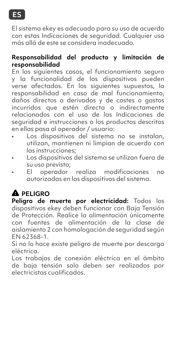

El sistema ekey es adecuado para su uso de acuerdo con estas Indicaciones de seguridad. Cualquier uso más allá de este se considera inadecuado.

#### **Responsabilidad del producto y limitación de responsabilidad**

En los siguientes casos, el funcionamiento seguro y la funcionalidad de los dispositivos pueden verse afectados. En los siguientes supuestos, la responsabilidad en caso de mal funcionamiento, daños directos o derivados y de costes o gastos incurridos que estén directa o indirectamente relacionados con el uso de las Indicaciones de seguridad e instrucciones o los productos descritos en ellas pasa al operador / usuario:

- Los dispositivos del sistema no se instalan, utilizan, mantienen ni limpian de acuerdo con las instrucciones;
- Los dispositivos del sistema se utilizan fuera de su uso previsto;
- El operador realiza modificaciones no autorizadas en los dispositivos del sistema.

### **PELIGRO**

**Peligro de muerte por electricidad:** Todos los dispositivos ekey deben funcionar con Baja Tensión de Protección. Realice la alimentación únicamente con fuentes de alimentación de la clase de aislamiento 2 con homologación de seguridad según EN 62368-1.

Si no lo hace existe peligro de muerte por descarga eléctrica.

Los trabajos de conexión eléctrica en el ámbito de baja tensión solo deben ser realizados por electricistas cualificados.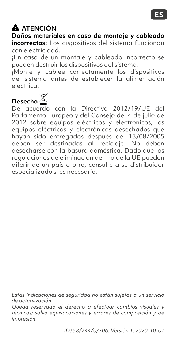

### **ATENCIÓN**

**Daños materiales en caso de montaje y cableado incorrectos:** Los dispositivos del sistema funcionan con electricidad.

¡En caso de un montaje y cableado incorrecto se pueden destruir los dispositivos del sistema!

¡Monte y cablee correctamente los dispositivos del sistema antes de establecer la alimentación eléctrica!

**Desecho**

De acuerdo con la Directiva 2012/19/UE del Parlamento Europeo y del Consejo del 4 de julio de 2012 sobre equipos eléctricos y electrónicos, los equipos eléctricos y electrónicos desechados que hayan sido entregados después del 13/08/2005 deben ser destinados al reciclaje. No deben desecharse con la basura doméstica. Dado que las regulaciones de eliminación dentro de la UE pueden diferir de un país a otro, consulte a su distribuidor especializado si es necesario.

*Estas Indicaciones de seguridad no están sujetas a un servicio de actualización.*

*Queda reservado el derecho a efectuar cambios visuales y técnicos; salvo equivocaciones y errores de composición y de impresión.*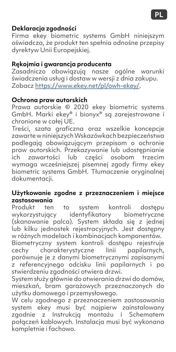### **Deklaracja zgodności**

Firma ekey biometric systems GmbH niniejszym oświadcza, że produkt ten spełnia odnośne przepisy dyrektyw Unii Europejskiej.

#### **Rękojmia i gwarancja producenta**

Zasadniczo obowiązują nasze ogólne warunki świadczenia usług i dostaw w wersji z dnia zakupu. Zobacz<https://www.ekey.net/pl/owh-ekey/>.

#### **Ochrona praw autorskich**

Prawa autorskie © 2020 ekey biometric systems GmbH. Marki ekey® i bionyx® są zarejestrowane i chronione w całej UE.

Treści, szata graficzna oraz wszelkie koncepcje zawarte w niniejszych Wskazówkach bezpieczeństwa podlegają obowiązującym przepisom o ochronie praw autorskich. Przekazywanie lub udostępnianie ich zawartości lub części osobom trzecim wymaga wcześniejszej pisemnej zgody firmy ekey biometric systems GmbH. Tłumaczenie oryginalnej dokumentacji.

## **Użytkowanie zgodne z przeznaczeniem i miejsce zastosowania**

ten to system kontroli dostępu wykorzystujący identyfikatory biometryczne (skanowanie palca). System składa się z jednej lub kilku jednostek rejestracyjnych. Jest dostępny w różnych modelach i kombinacjach komponentów.

Biometryczny system kontroli dostępu rejestruje<br>cechy charakterystyczne linii papilarnych, charakterystyczne linii porównuje je z danymi biometrycznymi zapisanymi z referencyjnego odcisku linii papilarnych i po stwierdzeniu zgodności otwiera drzwi.

System służy głównie do otwierania drzwi do domów, mieszkań, bram garażowych przeznaczonych do użytku domowego i przemysłowego.

W celu zgodnego z przeznaczeniem zastosowania system ekey musi być najpierw zainstalowany zgodnie z Instrukcją montażu i Schematem połączeń kablowych. Instalacja musi być wykonana kompletnie i fachowo.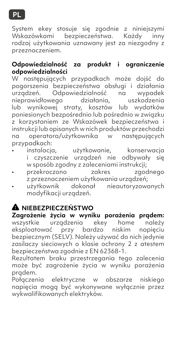

System ekey stosuje się zgodnie z niniejszymi Wskazówkami bezpieczeństwa. Każdy rodzaj użytkowania uznawany jest za niezgodny z przeznaczeniem.

#### **Odpowiedzialność za produkt i ograniczenie odpowiedzialności**

W następujących przypadkach może dojść do pogorszenia bezpieczeństwa obsługi i działania urządzeń. Odpowiedzialność na wypadek nieprawidłowego działania, uszkodzenia lub wynikowej straty, kosztów lub wydatków poniesionych bezpośrednio lub pośrednio w związku z korzystaniem ze Wskazówek bezpieczeństwa i instrukcji lub opisanych w nich produktów przechodzi na operatora/użytkownika w następujących przypadkach:

- instalacja, użytkowanie, konserwacja i czyszczenie urządzeń nie odbywały się w sposób zgodny z zaleceniami instrukcji;<br>przekroczono zakres zgodnego
- $\cdot$  przekroczono z przeznaczeniem użytkowania urządzeń;
- użytkownik dokonał nieautoryzowanych modyfikacji urządzeń.

### **NIEBEZPIECZEŃSTWO**

**Zagrożenie życia w wyniku porażenia prądem:** wszystkie urządzenia ekey home należy eksploatować przy bardzo niskim napieciu bezpiecznym (SELV). Należy używać do nich jedynie zasilaczy sieciowych o klasie ochrony 2 z atestem bezpieczeństwa zgodnie z EN 62368-1.

Rezultatem braku przestrzegania tego zalecenia może być zagrożenie życia w wyniku porażenia prądem.

Połączenia elektryczne w obszarze niskiego napięcia mogą być wykonywane wyłącznie przez wykwalifikowanych elektryków.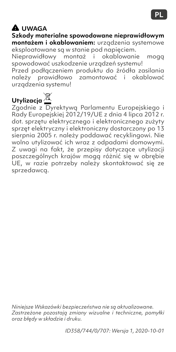### **UWAGA**

**Szkody materialne spowodowane nieprawidłowym montażem i okablowaniem:** urządzenia systemowe

eksploatowane są w stanie pod napięciem. Nieprawidłowy montaż i okablowanie mogą spowodować uszkodzenie urządzeń systemu! Przed podłączeniem produktu do źródła zasilania należy prawidłowo zamontować i okablować urzadzenia systemu!

**Utylizacja**

Zgodnie z Dyrektywą Parlamentu Europejskiego i Rady Europejskiej 2012/19/UE z dnia 4 lipca 2012 r. dot. sprzętu elektrycznego i elektronicznego zużyty sprzęt elektryczny i elektroniczny dostarczony po 13 sierpnia 2005 r. należy poddawać recyklingowi. Nie wolno utylizować ich wraz z odpadami domowymi. Z uwagi na fakt, że przepisy dotyczące utylizacji poszczególnych krajów mogą różnić się w obrębie UE, w razie potrzeby należy skontaktować się ze sprzedawcą.

*Niniejsze Wskazówki bezpieczeństwa nie są aktualizowane. Zastrzeżone pozostają zmiany wizualne i techniczne, pomyłki oraz błędy w składzie i druku.*